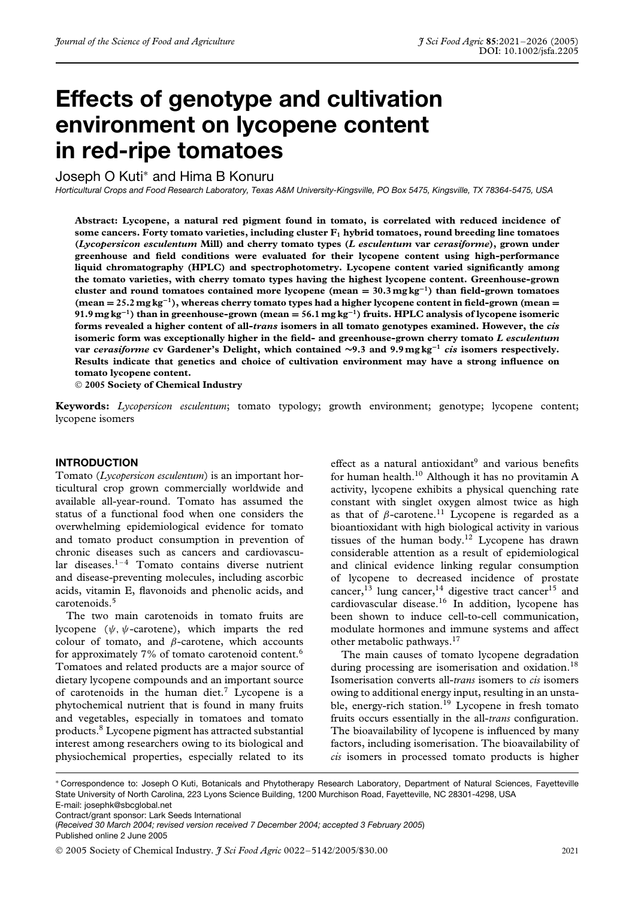# **Effects of genotype and cultivation environment on lycopene content in red-ripe tomatoes**

Joseph O Kuti<sup>∗</sup> and Hima B Konuru

*Horticultural Crops and Food Research Laboratory, Texas A&M University-Kingsville, PO Box 5475, Kingsville, TX 78364-5475, USA*

**Abstract: Lycopene, a natural red pigment found in tomato, is correlated with reduced incidence of** some cancers. Forty tomato varieties, including cluster  $F_1$  hybrid tomatoes, round breeding line tomatoes **(***Lycopersicon esculentum* **Mill) and cherry tomato types (***L esculentum* **var** *cerasiforme***), grown under greenhouse and field conditions were evaluated for their lycopene content using high-performance liquid chromatography (HPLC) and spectrophotometry. Lycopene content varied significantly among the tomato varieties, with cherry tomato types having the highest lycopene content. Greenhouse-grown cluster and round tomatoes contained more lycopene (mean = 30.3 mg kg−1) than field-grown tomatoes (mean = 25.2mg kg−1), whereas cherry tomato types had a higher lycopene content in field-grown (mean = 91.9 mg kg−1) than in greenhouse-grown (mean = 56.1 mg kg−1) fruits. HPLC analysis of lycopene isomeric forms revealed a higher content of all-***trans* **isomers in all tomato genotypes examined. However, the** *cis* **isomeric form was exceptionally higher in the field- and greenhouse-grown cherry tomato** *L esculentum* **var** *cerasiforme* **cv Gardener's Delight, which contained ∼9***.***3 and 9.9 mg kg−<sup>1</sup>** *cis* **isomers respectively. Results indicate that genetics and choice of cultivation environment may have a strong influence on tomato lycopene content.**

**2005 Society of Chemical Industry**

**Keywords:** *Lycopersicon esculentum*; tomato typology; growth environment; genotype; lycopene content; lycopene isomers

# **INTRODUCTION**

Tomato (*Lycopersicon esculentum*) is an important horticultural crop grown commercially worldwide and available all-year-round. Tomato has assumed the status of a functional food when one considers the overwhelming epidemiological evidence for tomato and tomato product consumption in prevention of chronic diseases such as cancers and cardiovascular diseases. $1-4$  Tomato contains diverse nutrient and disease-preventing molecules, including ascorbic acids, vitamin E, flavonoids and phenolic acids, and carotenoids.5

The two main carotenoids in tomato fruits are lycopene (*ψ, ψ*-carotene), which imparts the red colour of tomato, and *β*-carotene, which accounts for approximately  $7\%$  of tomato carotenoid content.<sup>6</sup> Tomatoes and related products are a major source of dietary lycopene compounds and an important source of carotenoids in the human diet.7 Lycopene is a phytochemical nutrient that is found in many fruits and vegetables, especially in tomatoes and tomato products.8 Lycopene pigment has attracted substantial interest among researchers owing to its biological and physiochemical properties, especially related to its

effect as a natural antioxidant $9$  and various benefits for human health.<sup>10</sup> Although it has no provitamin A activity, lycopene exhibits a physical quenching rate constant with singlet oxygen almost twice as high as that of  $\beta$ -carotene.<sup>11</sup> Lycopene is regarded as a bioantioxidant with high biological activity in various tissues of the human body.12 Lycopene has drawn considerable attention as a result of epidemiological and clinical evidence linking regular consumption of lycopene to decreased incidence of prostate cancer,<sup>13</sup> lung cancer,<sup>14</sup> digestive tract cancer<sup>15</sup> and cardiovascular disease.16 In addition, lycopene has been shown to induce cell-to-cell communication, modulate hormones and immune systems and affect other metabolic pathways.17

The main causes of tomato lycopene degradation during processing are isomerisation and oxidation.<sup>18</sup> Isomerisation converts all-*trans* isomers to *cis* isomers owing to additional energy input, resulting in an unstable, energy-rich station.<sup>19</sup> Lycopene in fresh tomato fruits occurs essentially in the all-*trans* configuration. The bioavailability of lycopene is influenced by many factors, including isomerisation. The bioavailability of *cis* isomers in processed tomato products is higher

∗ Correspondence to: Joseph O Kuti, Botanicals and Phytotherapy Research Laboratory, Department of Natural Sciences, Fayetteville State University of North Carolina, 223 Lyons Science Building, 1200 Murchison Road, Fayetteville, NC 28301-4298, USA E-mail: josephk@sbcglobal.net

Contract/grant sponsor: Lark Seeds International

(*Received 30 March 2004; revised version received 7 December 2004; accepted 3 February 2005*) Published online 2 June 2005

2005 Society of Chemical Industry. *J Sci Food Agric* 0022–5142/2005/\$30.00 2021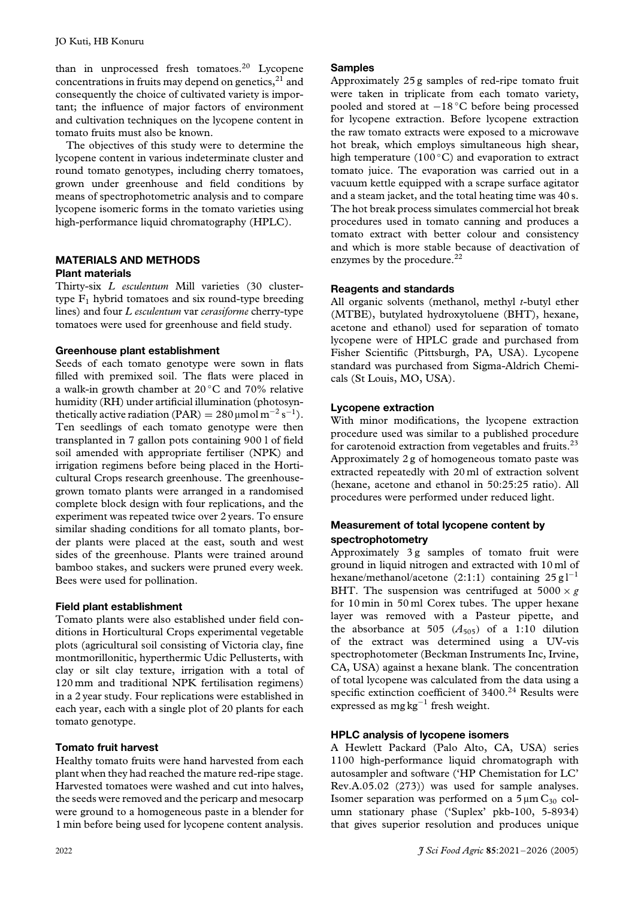than in unprocessed fresh tomatoes.<sup>20</sup> Lycopene concentrations in fruits may depend on genetics, $^{21}$  and consequently the choice of cultivated variety is important; the influence of major factors of environment and cultivation techniques on the lycopene content in tomato fruits must also be known.

The objectives of this study were to determine the lycopene content in various indeterminate cluster and round tomato genotypes, including cherry tomatoes, grown under greenhouse and field conditions by means of spectrophotometric analysis and to compare lycopene isomeric forms in the tomato varieties using high-performance liquid chromatography (HPLC).

# **MATERIALS AND METHODS Plant materials**

Thirty-six *L esculentum* Mill varieties (30 clustertype  $F_1$  hybrid tomatoes and six round-type breeding lines) and four *L esculentum* var *cerasiforme* cherry-type tomatoes were used for greenhouse and field study.

# **Greenhouse plant establishment**

Seeds of each tomato genotype were sown in flats filled with premixed soil. The flats were placed in a walk-in growth chamber at  $20^{\circ}$ C and  $70\%$  relative humidity (RH) under artificial illumination (photosynthetically active radiation (PAR) =  $280 \mu$ mol m<sup>-2</sup> s<sup>-1</sup>). Ten seedlings of each tomato genotype were then transplanted in 7 gallon pots containing 900 l of field soil amended with appropriate fertiliser (NPK) and irrigation regimens before being placed in the Horticultural Crops research greenhouse. The greenhousegrown tomato plants were arranged in a randomised complete block design with four replications, and the experiment was repeated twice over 2 years. To ensure similar shading conditions for all tomato plants, border plants were placed at the east, south and west sides of the greenhouse. Plants were trained around bamboo stakes, and suckers were pruned every week. Bees were used for pollination.

# **Field plant establishment**

Tomato plants were also established under field conditions in Horticultural Crops experimental vegetable plots (agricultural soil consisting of Victoria clay, fine montmorillonitic, hyperthermic Udic Pellusterts, with clay or silt clay texture, irrigation with a total of 120 mm and traditional NPK fertilisation regimens) in a 2 year study. Four replications were established in each year, each with a single plot of 20 plants for each tomato genotype.

# **Tomato fruit harvest**

Healthy tomato fruits were hand harvested from each plant when they had reached the mature red-ripe stage. Harvested tomatoes were washed and cut into halves, the seeds were removed and the pericarp and mesocarp were ground to a homogeneous paste in a blender for 1 min before being used for lycopene content analysis.

# **Samples**

Approximately 25 g samples of red-ripe tomato fruit were taken in triplicate from each tomato variety, pooled and stored at −18 ◦C before being processed for lycopene extraction. Before lycopene extraction the raw tomato extracts were exposed to a microwave hot break, which employs simultaneous high shear, high temperature (100 $°C$ ) and evaporation to extract tomato juice. The evaporation was carried out in a vacuum kettle equipped with a scrape surface agitator and a steam jacket, and the total heating time was 40 s. The hot break process simulates commercial hot break procedures used in tomato canning and produces a tomato extract with better colour and consistency and which is more stable because of deactivation of enzymes by the procedure.<sup>22</sup>

# **Reagents and standards**

All organic solvents (methanol, methyl *t*-butyl ether (MTBE), butylated hydroxytoluene (BHT), hexane, acetone and ethanol) used for separation of tomato lycopene were of HPLC grade and purchased from Fisher Scientific (Pittsburgh, PA, USA). Lycopene standard was purchased from Sigma-Aldrich Chemicals (St Louis, MO, USA).

# **Lycopene extraction**

With minor modifications, the lycopene extraction procedure used was similar to a published procedure for carotenoid extraction from vegetables and fruits.<sup>23</sup> Approximately 2 g of homogeneous tomato paste was extracted repeatedly with 20 ml of extraction solvent (hexane, acetone and ethanol in 50:25:25 ratio). All procedures were performed under reduced light.

# **Measurement of total lycopene content by spectrophotometry**

Approximately 3g samples of tomato fruit were ground in liquid nitrogen and extracted with 10 ml of hexane/methanol/acetone (2:1:1) containing  $25 \text{ g}$ l<sup>-1</sup> BHT. The suspension was centrifuged at  $5000 \times g$ for 10 min in 50 ml Corex tubes. The upper hexane layer was removed with a Pasteur pipette, and the absorbance at 505  $(A_{505})$  of a 1:10 dilution of the extract was determined using a UV-vis spectrophotometer (Beckman Instruments Inc, Irvine, CA, USA) against a hexane blank. The concentration of total lycopene was calculated from the data using a specific extinction coefficient of 3400.<sup>24</sup> Results were expressed as mg kg−<sup>1</sup> fresh weight.

# **HPLC analysis of lycopene isomers**

A Hewlett Packard (Palo Alto, CA, USA) series 1100 high-performance liquid chromatograph with autosampler and software ('HP Chemistation for LC' Rev.A.05.02 (273)) was used for sample analyses. Isomer separation was performed on a  $5 \mu m C_{30}$  column stationary phase ('Suplex' pkb-100, 5-8934) that gives superior resolution and produces unique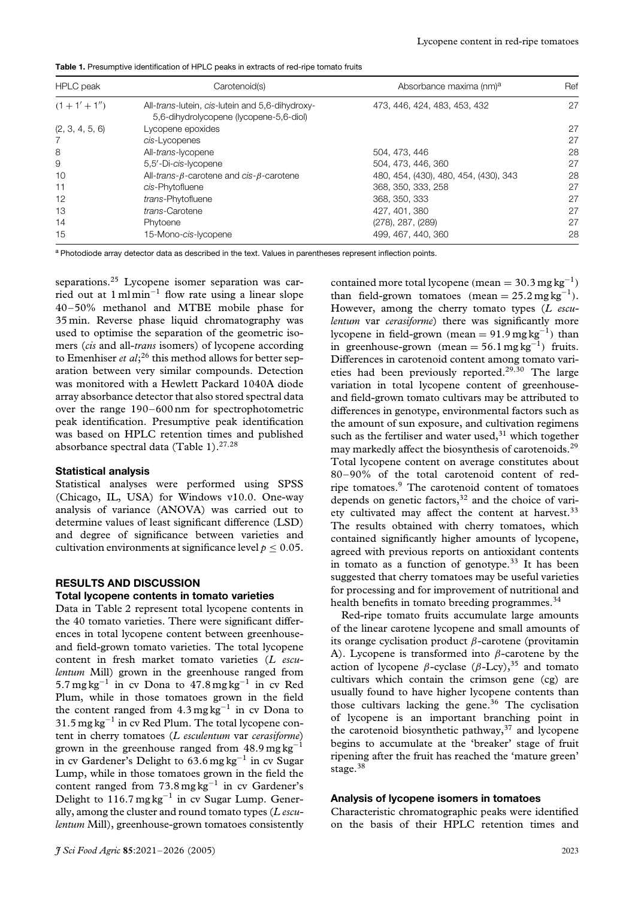**Table 1.** Presumptive identification of HPLC peaks in extracts of red-ripe tomato fruits

| <b>HPLC</b> peak | Carotenoid(s)                                                                              | Absorbance maxima (nm) <sup>a</sup>   | Ref |  |
|------------------|--------------------------------------------------------------------------------------------|---------------------------------------|-----|--|
| $(1 + 1' + 1'')$ | All-trans-lutein, cis-lutein and 5,6-dihydroxy-<br>5,6-dihydrolycopene (lycopene-5,6-diol) | 473, 446, 424, 483, 453, 432          | 27  |  |
| (2, 3, 4, 5, 6)  | Lycopene epoxides                                                                          |                                       | 27  |  |
|                  | cis-Lycopenes                                                                              |                                       | 27  |  |
| 8                | All-trans-lycopene                                                                         | 504, 473, 446                         | 28  |  |
| 9                | 5,5'-Di-cis-Iycopene                                                                       | 504, 473, 446, 360                    | 27  |  |
| 10               | All-trans- $\beta$ -carotene and cis- $\beta$ -carotene                                    | 480, 454, (430), 480, 454, (430), 343 | 28  |  |
| 11               | cis-Phytofluene                                                                            | 368, 350, 333, 258                    | 27  |  |
| 12               | trans-Phytofluene                                                                          | 368, 350, 333                         | 27  |  |
| 13               | trans-Carotene                                                                             | 427, 401, 380                         | 27  |  |
| 14               | Phytoene                                                                                   | (278), 287, (289)                     | 27  |  |
| 15               | 15-Mono-cis-lycopene                                                                       | 499, 467, 440, 360                    | 28  |  |

a Photodiode array detector data as described in the text. Values in parentheses represent inflection points.

separations.<sup>25</sup> Lycopene isomer separation was carried out at 1 ml min−<sup>1</sup> flow rate using a linear slope 40–50% methanol and MTBE mobile phase for 35 min. Reverse phase liquid chromatography was used to optimise the separation of the geometric isomers (*cis* and all-*trans* isomers) of lycopene according to Emenhiser *et al*;<sup>26</sup> this method allows for better separation between very similar compounds. Detection was monitored with a Hewlett Packard 1040A diode array absorbance detector that also stored spectral data over the range 190–600 nm for spectrophotometric peak identification. Presumptive peak identification was based on HPLC retention times and published absorbance spectral data (Table 1).27*,*<sup>28</sup>

#### **Statistical analysis**

Statistical analyses were performed using SPSS (Chicago, IL, USA) for Windows v10.0. One-way analysis of variance (ANOVA) was carried out to determine values of least significant difference (LSD) and degree of significance between varieties and cultivation environments at significance level  $p < 0.05$ .

#### **RESULTS AND DISCUSSION**

#### **Total lycopene contents in tomato varieties**

Data in Table 2 represent total lycopene contents in the 40 tomato varieties. There were significant differences in total lycopene content between greenhouseand field-grown tomato varieties. The total lycopene content in fresh market tomato varieties (*L esculentum* Mill) grown in the greenhouse ranged from 5.7 mg kg<sup>-1</sup> in cv Dona to 47.8 mg kg<sup>-1</sup> in cv Red Plum, while in those tomatoes grown in the field the content ranged from  $4.3 \text{ mg kg}^{-1}$  in cv Dona to  $31.5$  mg kg<sup>-1</sup> in cv Red Plum. The total lycopene content in cherry tomatoes (*L esculentum* var *cerasiforme*) grown in the greenhouse ranged from  $48.9 \text{ mg kg}^{-1}$ in cv Gardener's Delight to 63.6 mg kg−<sup>1</sup> in cv Sugar Lump, while in those tomatoes grown in the field the content ranged from  $73.8 \text{ mg kg}^{-1}$  in cv Gardener's Delight to 116.7 mg kg<sup>-1</sup> in cv Sugar Lump. Generally, among the cluster and round tomato types (*L esculentum* Mill), greenhouse-grown tomatoes consistently contained more total lycopene  $(\text{mean} = 30.3 \text{ mg kg}^{-1})$ than field-grown tomatoes  $(\text{mean} = 25.2 \text{ mg}\,\text{kg}^{-1})$ . However, among the cherry tomato types (*L esculentum* var *cerasiforme*) there was significantly more lycopene in field-grown *(*mean <sup>=</sup> 91.9 mg kg−1*)* than in greenhouse-grown  $(mean = 56.1 \text{ mg kg}^{-1})$  fruits. Differences in carotenoid content among tomato varieties had been previously reported.29*,*<sup>30</sup> The large variation in total lycopene content of greenhouseand field-grown tomato cultivars may be attributed to differences in genotype, environmental factors such as the amount of sun exposure, and cultivation regimens such as the fertiliser and water used, $31$  which together may markedly affect the biosynthesis of carotenoids.29 Total lycopene content on average constitutes about 80–90% of the total carotenoid content of redripe tomatoes.9 The carotenoid content of tomatoes depends on genetic factors,  $32$  and the choice of variety cultivated may affect the content at harvest.<sup>33</sup> The results obtained with cherry tomatoes, which contained significantly higher amounts of lycopene, agreed with previous reports on antioxidant contents in tomato as a function of genotype.<sup>33</sup> It has been suggested that cherry tomatoes may be useful varieties for processing and for improvement of nutritional and health benefits in tomato breeding programmes.<sup>34</sup>

Red-ripe tomato fruits accumulate large amounts of the linear carotene lycopene and small amounts of its orange cyclisation product *β*-carotene (provitamin A). Lycopene is transformed into *β*-carotene by the action of lycopene *β*-cyclase (*β*-Lcy),<sup>35</sup> and tomato cultivars which contain the crimson gene (cg) are usually found to have higher lycopene contents than those cultivars lacking the gene. $36$  The cyclisation of lycopene is an important branching point in the carotenoid biosynthetic pathway, $37$  and lycopene begins to accumulate at the 'breaker' stage of fruit ripening after the fruit has reached the 'mature green' stage.<sup>38</sup>

#### **Analysis of lycopene isomers in tomatoes**

Characteristic chromatographic peaks were identified on the basis of their HPLC retention times and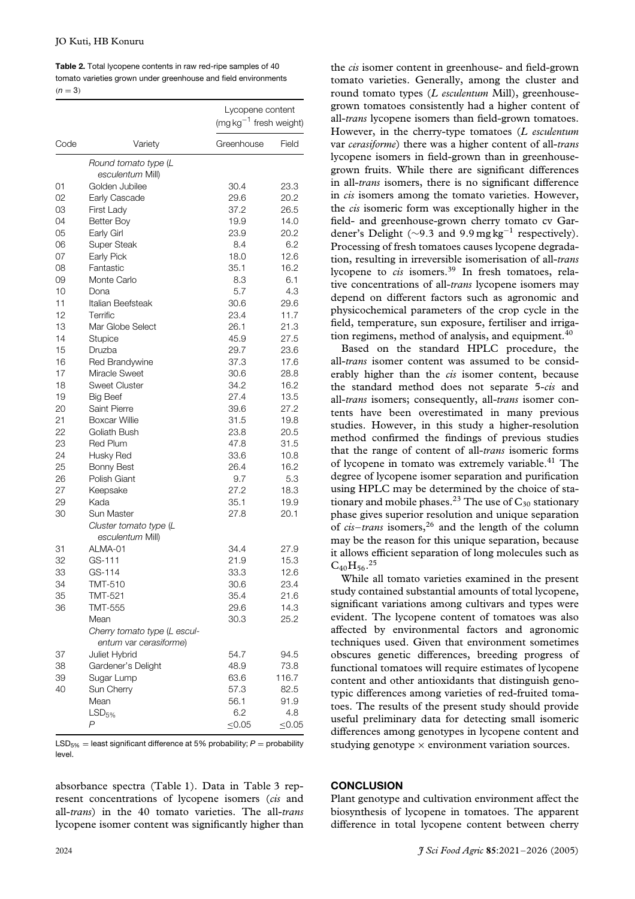| <b>Table 2.</b> Total lycopene contents in raw red-ripe samples of 40 |
|-----------------------------------------------------------------------|
| tomato varieties grown under greenhouse and field environments        |
| $(n = 3)$                                                             |

|                              |             | Lycopene content<br>$(mgkg^{-1}$ fresh weight) |  |  |
|------------------------------|-------------|------------------------------------------------|--|--|
| Code<br>Variety              | Greenhouse  | Field                                          |  |  |
| Round tomato type (L         |             |                                                |  |  |
| esculentum Mill)             |             |                                                |  |  |
| Golden Jubilee<br>01         | 30.4        | 23.3                                           |  |  |
| 02<br>Early Cascade          | 29.6        | 20.2                                           |  |  |
| 03<br>First Lady             | 37.2        | 26.5                                           |  |  |
| 04<br><b>Better Boy</b>      | 19.9        | 14.0                                           |  |  |
| 05<br>Early Girl             | 23.9        | 20.2                                           |  |  |
| 06<br><b>Super Steak</b>     | 8.4         | 6.2                                            |  |  |
| 07<br>Early Pick             | 18.0        | 12.6                                           |  |  |
| Fantastic<br>08              | 35.1        | 16.2                                           |  |  |
| 09<br>Monte Carlo            | 8.3         | 6.1                                            |  |  |
| 10<br>Dona                   | 5.7         | 4.3                                            |  |  |
| 11<br>Italian Beefsteak      | 30.6        | 29.6                                           |  |  |
| 12<br>Terrific               | 23.4        | 11.7                                           |  |  |
| 13<br>Mar Globe Select       | 26.1        | 21.3                                           |  |  |
| 14<br><b>Stupice</b>         | 45.9        | 27.5                                           |  |  |
| 15<br>Druzba                 | 29.7        | 23.6                                           |  |  |
| 16<br>Red Brandywine         | 37.3        | 17.6                                           |  |  |
| Miracle Sweet<br>17          | 30.6        | 28.8                                           |  |  |
| <b>Sweet Cluster</b><br>18   | 34.2        | 16.2                                           |  |  |
| 19<br><b>Big Beef</b>        | 27.4        | 13.5                                           |  |  |
| 20<br><b>Saint Pierre</b>    | 39.6        | 27.2                                           |  |  |
| 21<br>Boxcar Willie          | 31.5        | 19.8                                           |  |  |
| 22<br>Goliath Bush           | 23.8        | 20.5                                           |  |  |
| 23<br><b>Red Plum</b>        | 47.8        | 31.5                                           |  |  |
| 24<br>Husky Red              | 33.6        | 10.8                                           |  |  |
| 25<br><b>Bonny Best</b>      | 26.4        | 16.2                                           |  |  |
| Polish Giant<br>26           | 9.7         | 5.3                                            |  |  |
| 27<br>Keepsake               | 27.2        | 18.3                                           |  |  |
| 29<br>Kada                   | 35.1        | 19.9                                           |  |  |
| 30<br>Sun Master             | 27.8        | 20.1                                           |  |  |
| Cluster tomato type (L       |             |                                                |  |  |
| esculentum Mill)             |             |                                                |  |  |
| ALMA-01<br>31                | 34.4        | 27.9                                           |  |  |
| 32<br>GS-111                 | 21.9        | 15.3                                           |  |  |
| 33<br>$GS-114$               | 33.3        | 12.6                                           |  |  |
| <b>TMT-510</b><br>34         | 30.6        | 23.4                                           |  |  |
| 35<br>TMT-521                | 35.4        | 21.6                                           |  |  |
| 36<br><b>TMT-555</b>         | 29.6        | 14.3                                           |  |  |
| Mean                         | 30.3        | 25.2                                           |  |  |
| Cherry tomato type (L escul- |             |                                                |  |  |
| entum var cerasiforme)       |             |                                                |  |  |
| 37<br>Juliet Hybrid          | 54.7        | 94.5                                           |  |  |
| 38<br>Gardener's Delight     | 48.9        | 73.8                                           |  |  |
| 39<br>Sugar Lump             | 63.6        | 116.7                                          |  |  |
| 40<br>Sun Cherry             | 57.3        | 82.5                                           |  |  |
| Mean                         | 56.1        | 91.9                                           |  |  |
| LSD <sub>5%</sub>            | 6.2         | 4.8                                            |  |  |
| P                            | $\leq 0.05$ | $\leq 0.05$                                    |  |  |

LSD<sub>5%</sub> = least significant difference at 5% probability;  $P =$  probability level.

absorbance spectra (Table 1). Data in Table 3 represent concentrations of lycopene isomers (*cis* and all-*trans*) in the 40 tomato varieties. The all-*trans* lycopene isomer content was significantly higher than the *cis* isomer content in greenhouse- and field-grown tomato varieties. Generally, among the cluster and round tomato types (*L esculentum* Mill), greenhousegrown tomatoes consistently had a higher content of all-*trans* lycopene isomers than field-grown tomatoes. However, in the cherry-type tomatoes (*L esculentum* var *cerasiforme*) there was a higher content of all-*trans* lycopene isomers in field-grown than in greenhousegrown fruits. While there are significant differences in all-*trans* isomers, there is no significant difference in *cis* isomers among the tomato varieties. However, the *cis* isomeric form was exceptionally higher in the field- and greenhouse-grown cherry tomato cv Gardener's Delight ( $\sim$ 9.3 and 9.9 mg kg<sup>-1</sup> respectively). Processing of fresh tomatoes causes lycopene degradation, resulting in irreversible isomerisation of all-*trans* lycopene to *cis* isomers.<sup>39</sup> In fresh tomatoes, relative concentrations of all-*trans* lycopene isomers may depend on different factors such as agronomic and physicochemical parameters of the crop cycle in the field, temperature, sun exposure, fertiliser and irrigation regimens, method of analysis, and equipment. $40$ 

Based on the standard HPLC procedure, the all-*trans* isomer content was assumed to be considerably higher than the *cis* isomer content, because the standard method does not separate 5-*cis* and all-*trans* isomers; consequently, all-*trans* isomer contents have been overestimated in many previous studies. However, in this study a higher-resolution method confirmed the findings of previous studies that the range of content of all-*trans* isomeric forms of lycopene in tomato was extremely variable.<sup>41</sup> The degree of lycopene isomer separation and purification using HPLC may be determined by the choice of stationary and mobile phases.<sup>23</sup> The use of  $C_{30}$  stationary phase gives superior resolution and unique separation of *cis*–*trans* isomers,26 and the length of the column may be the reason for this unique separation, because it allows efficient separation of long molecules such as  $C_{40}H_{56}.^{25}$ 

While all tomato varieties examined in the present study contained substantial amounts of total lycopene, significant variations among cultivars and types were evident. The lycopene content of tomatoes was also affected by environmental factors and agronomic techniques used. Given that environment sometimes obscures genetic differences, breeding progress of functional tomatoes will require estimates of lycopene content and other antioxidants that distinguish genotypic differences among varieties of red-fruited tomatoes. The results of the present study should provide useful preliminary data for detecting small isomeric differences among genotypes in lycopene content and studying genotype  $\times$  environment variation sources.

# **CONCLUSION**

Plant genotype and cultivation environment affect the biosynthesis of lycopene in tomatoes. The apparent difference in total lycopene content between cherry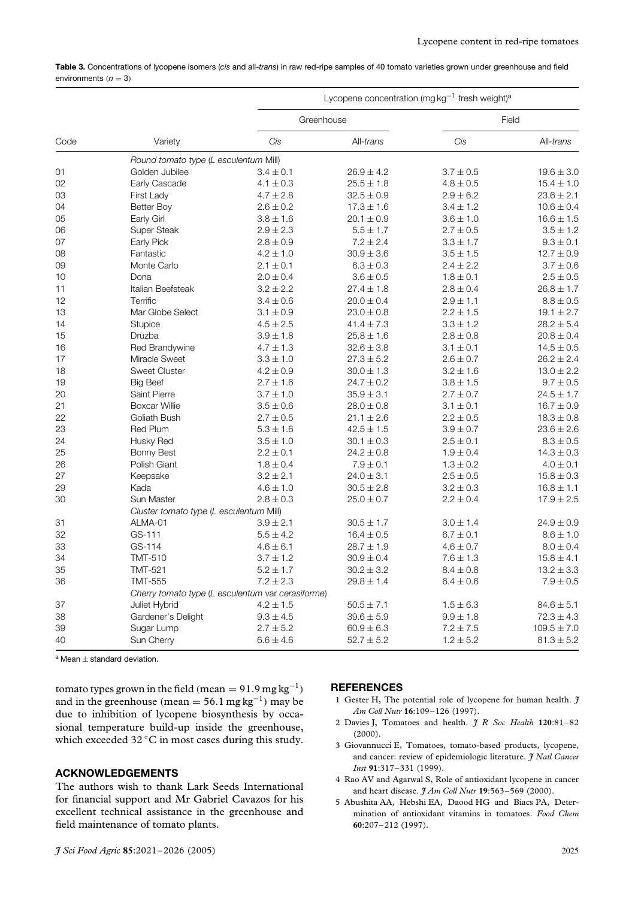| Table 3. Concentrations of lycopene isomers (cis and all-trans) in raw red-ripe samples of 40 tomato varieties grown under greenhouse and field |  |
|-------------------------------------------------------------------------------------------------------------------------------------------------|--|
| environments ( $n = 3$ )                                                                                                                        |  |

| Code | Variety                                           | Lycopene concentration (mg $kg^{-1}$ fresh weight) <sup>a</sup> |                |               |                 |
|------|---------------------------------------------------|-----------------------------------------------------------------|----------------|---------------|-----------------|
|      |                                                   |                                                                 | Greenhouse     |               | Field           |
|      |                                                   | Cis                                                             | All-trans      | Cis           | All-trans       |
|      | Round tomato type (L esculentum Mill)             |                                                                 |                |               |                 |
| 01   | Golden Jubilee                                    | $3.4 \pm 0.1$                                                   | $26.9 \pm 4.2$ | $3.7 \pm 0.5$ | $19.6 \pm 3.0$  |
| 02   | Early Cascade                                     | $4.1 \pm 0.3$                                                   | $25.5 \pm 1.8$ | $4.8 \pm 0.5$ | $15.4 \pm 1.0$  |
| 03   | First Lady                                        | $4.7 \pm 2.8$                                                   | $32.5 \pm 0.9$ | $2.9 \pm 6.2$ | $23.6 \pm 2.1$  |
| 04   | Better Boy                                        | $2.6 \pm 0.2$                                                   | $17.3 \pm 1.6$ | $3.4 \pm 1.2$ | $10.6 \pm 0.4$  |
| 05   | Early Girl                                        | $3.8 \pm 1.6$                                                   | $20.1 \pm 0.9$ | $3.6 \pm 1.0$ | $16.6 \pm 1.5$  |
| 06   | Super Steak                                       | $2.9 \pm 2.3$                                                   | $5.5 \pm 1.7$  | $2.7 \pm 0.5$ | $3.5 \pm 1.2$   |
| 07   | Early Pick                                        | $2.8 \pm 0.9$                                                   | $7.2 \pm 2.4$  | $3.3 \pm 1.7$ | $9.3 \pm 0.1$   |
| 08   | Fantastic                                         | $4.2 \pm 1.0$                                                   | $30.9 \pm 3.6$ | $3.5 \pm 1.5$ | $12.7 \pm 0.9$  |
| 09   | Monte Carlo                                       | $2.1 \pm 0.1$                                                   | $6.3 \pm 0.3$  | $2.4 \pm 2.2$ | $3.7 \pm 0.6$   |
| 10   | Dona                                              | $2.0 \pm 0.4$                                                   | $3.6 \pm 0.5$  | $1.8 \pm 0.1$ | $2.5 \pm 0.5$   |
| 11   | Italian Beefsteak                                 | $3.2 \pm 2.2$                                                   | $27.4 \pm 1.8$ | $2.8 \pm 0.4$ | $26.8 \pm 1.7$  |
| 12   | Terrific                                          | $3.4 \pm 0.6$                                                   | $20.0 \pm 0.4$ | $2.9 \pm 1.1$ | $8.8 \pm 0.5$   |
| 13   | Mar Globe Select                                  | $3.1 \pm 0.9$                                                   | $23.0 \pm 0.8$ | $2.2 \pm 1.5$ | $19.1 \pm 2.7$  |
| 14   | Stupice                                           | $4.5 \pm 2.5$                                                   | $41.4 \pm 7.3$ | $3.3 \pm 1.2$ | $28.2 \pm 5.4$  |
| 15   | Druzba                                            | $3.9 \pm 1.8$                                                   | $25.8 \pm 1.6$ | $2.8 \pm 0.8$ | $20.8 \pm 0.4$  |
| 16   | Red Brandywine                                    | $4.7 \pm 1.3$                                                   | $32.6 \pm 3.8$ | $3.1 \pm 0.1$ | $14.5 \pm 0.5$  |
| 17   | Miracle Sweet                                     | $3.3 \pm 1.0$                                                   | $27.3 \pm 5.2$ | $2.6 \pm 0.7$ | $26.2 \pm 2.4$  |
| 18   | <b>Sweet Cluster</b>                              | $4.2 \pm 0.9$                                                   | $30.0 \pm 1.3$ | $3.2 \pm 1.6$ | $13.0 \pm 2.2$  |
| 19   | <b>Big Beef</b>                                   | $2.7 \pm 1.6$                                                   | $24.7 \pm 0.2$ | $3.8 \pm 1.5$ | $9.7 \pm 0.5$   |
| 20   | Saint Pierre                                      | $3.7 \pm 1.0$                                                   | $35.9 \pm 3.1$ | $2.7 \pm 0.7$ | $24.5 \pm 1.7$  |
| 21   | <b>Boxcar Willie</b>                              | $3.5 \pm 0.6$                                                   | $28.0 \pm 0.8$ | $3.1 \pm 0.1$ | $16.7 \pm 0.9$  |
| 22   | Goliath Bush                                      | $2.7 \pm 0.5$                                                   | $21.1 \pm 2.6$ | $2.2 \pm 0.5$ | $18.3 \pm 0.8$  |
| 23   | <b>Red Plum</b>                                   | $5.3 \pm 1.6$                                                   | $42.5 \pm 1.5$ | $3.9 \pm 0.7$ | $23.6 \pm 2.6$  |
| 24   | Husky Red                                         | $3.5 \pm 1.0$                                                   | $30.1 \pm 0.3$ | $2.5 \pm 0.1$ | $8.3 \pm 0.5$   |
| 25   | <b>Bonny Best</b>                                 | $2.2 \pm 0.1$                                                   | $24.2 \pm 0.8$ | $1.9 \pm 0.4$ | $14.3 \pm 0.3$  |
| 26   | Polish Giant                                      | $1.8 \pm 0.4$                                                   | $7.9 \pm 0.1$  | $1.3 \pm 0.2$ | $4.0 \pm 0.1$   |
| 27   | Keepsake                                          | $3.2 \pm 2.1$                                                   | $24.0 \pm 3.1$ | $2.5 \pm 0.5$ | $15.8 \pm 0.3$  |
| 29   | Kada                                              | $4.6 \pm 1.0$                                                   | $30.5 \pm 2.8$ | $3.2 \pm 0.3$ | $16.8 \pm 1.1$  |
| 30   | Sun Master                                        | $2.8 \pm 0.3$                                                   | $25.0 \pm 0.7$ | $2.2 \pm 0.4$ | $17.9 \pm 2.5$  |
|      | Cluster tomato type (L esculentum Mill)           |                                                                 |                |               |                 |
| 31   | ALMA-01                                           | $3.9 \pm 2.1$                                                   | $30.5 \pm 1.7$ | $3.0 \pm 1.4$ | $24.9 \pm 0.9$  |
| 32   | GS-111                                            | $5.5 \pm 4.2$                                                   | $16.4 \pm 0.5$ | $6.7 \pm 0.1$ | $8.6 \pm 1.0$   |
| 33   | GS-114                                            | $4.6 \pm 6.1$                                                   | $28.7 \pm 1.9$ | $4.6 \pm 0.7$ | $8.0 \pm 0.4$   |
| 34   | <b>TMT-510</b>                                    | $3.7 \pm 1.2$                                                   | $30.9 \pm 0.4$ | $7.6 \pm 1.3$ | $15.8 \pm 4.1$  |
| 35   | TMT-521                                           | $5.2 \pm 1.7$                                                   | $30.2 \pm 3.2$ | $8.4 \pm 0.8$ | $13.2 \pm 3.3$  |
| 36   | <b>TMT-555</b>                                    | $7.2 \pm 2.3$                                                   | $29.8 \pm 1.4$ | $6.4 \pm 0.6$ | $7.9 \pm 0.5$   |
|      | Cherry tomato type (L esculentum var cerasiforme) |                                                                 |                |               |                 |
| 37   | Juliet Hybrid                                     | $4.2 \pm 1.5$                                                   | $50.5 \pm 7.1$ | $1.5 \pm 6.3$ | $84.6 \pm 5.1$  |
| 38   | Gardener's Delight                                | $9.3\pm4.5$                                                     | $39.6\pm5.9$   | $9.9\pm1.8$   | $72.3 \pm 4.3$  |
| 39   | Sugar Lump                                        | $2.7 \pm 5.2$                                                   | $60.9 \pm 6.3$ | $7.2 \pm 7.5$ | $109.5 \pm 7.0$ |
| 40   | Sun Cherry                                        | $6.6 \pm 4.6$                                                   | $52.7 \pm 5.2$ | $1.2 \pm 5.2$ | $81.3 \pm 5.2$  |

 $a$  Mean  $\pm$  standard deviation.

tomato types grown in the field  $(mean = 91.9 \text{ mg kg}^{-1})$ and in the greenhouse  $(mean = 56.1 \text{ mg kg}^{-1})$  may be due to inhibition of lycopene biosynthesis by occasional temperature build-up inside the greenhouse, which exceeded 32 °C in most cases during this study.

#### **ACKNOWLEDGEMENTS**

The authors wish to thank Lark Seeds International for financial support and Mr Gabriel Cavazos for his excellent technical assistance in the greenhouse and field maintenance of tomato plants.

#### **REFERENCES**

- 1 Gester H, The potential role of lycopene for human health. *J Am Coll Nutr* **16**:109–126 (1997).
- 2 Davies J, Tomatoes and health. *J R Soc Health* **120**:81–82 (2000).
- 3 Giovannucci E, Tomatoes, tomato-based products, lycopene, and cancer: review of epidemiologic literature. *J Natl Cancer Inst* **91**:317–331 (1999).
- 4 Rao AV and Agarwal S, Role of antioxidant lycopene in cancer and heart disease. *J Am Coll Nutr* **19**:563–569 (2000).
- 5 Abushita AA, Hebshi EA, Daood HG and Biacs PA, Determination of antioxidant vitamins in tomatoes. *Food Chem* **60**:207–212 (1997).